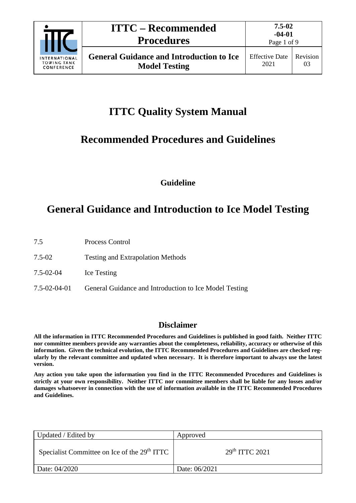

# **ITTC Quality System Manual**

### **Recommended Procedures and Guidelines**

**Guideline**

## **General Guidance and Introduction to Ice Model Testing**

- 7.5 Process Control
- 7.5-02 Testing and Extrapolation Methods
- 7.5-02-04 Ice Testing
- 7.5-02-04-01 General Guidance and Introduction to Ice Model Testing

### **Disclaimer**

**All the information in ITTC Recommended Procedures and Guidelines is published in good faith. Neither ITTC nor committee members provide any warranties about the completeness, reliability, accuracy or otherwise of this information. Given the technical evolution, the ITTC Recommended Procedures and Guidelines are checked regularly by the relevant committee and updated when necessary. It is therefore important to always use the latest version.**

**Any action you take upon the information you find in the ITTC Recommended Procedures and Guidelines is strictly at your own responsibility. Neither ITTC nor committee members shall be liable for any losses and/or damages whatsoever in connection with the use of information available in the ITTC Recommended Procedures and Guidelines.**

| Updated / Edited by                                      | Approved                   |
|----------------------------------------------------------|----------------------------|
| Specialist Committee on Ice of the 29 <sup>th</sup> ITTC | 29 <sup>th</sup> TTTC 2021 |
| Date: 04/2020                                            | Date: 06/2021              |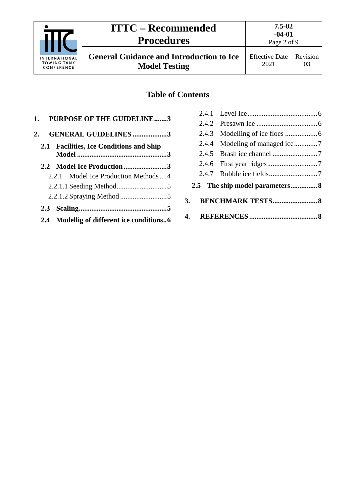

**General Guidance and Introduction to Ice Model Testing**

Page 2 of 9

### **Table of Contents**

| 1. PURPOSE OF THE GUIDELINE3              |
|-------------------------------------------|
| <b>GENERAL GUIDELINES3</b><br>2.          |
| 2.1 Facilities, Ice Conditions and Ship   |
| 2.2 Model Ice Production3                 |
| 2.2.1 Model Ice Production Methods 4      |
|                                           |
|                                           |
|                                           |
| 2.4 Modellig of different ice conditions6 |

| <b>3.</b> |  |  |
|-----------|--|--|
|           |  |  |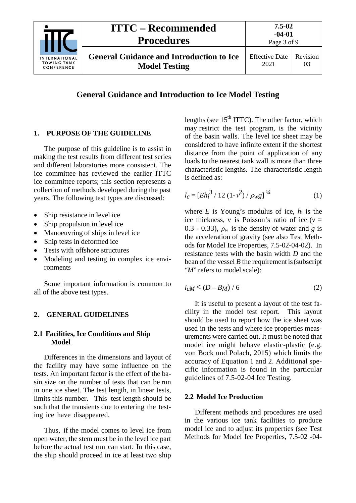| <b>INTERNATIONAL</b><br><b>TOWING TANK</b><br>CONFERENCE | <b>ITTC – Recommended</b><br><b>Procedures</b>                          | $7.5 - 02$<br>$-04-01$<br>Page 3 of 9 |          |
|----------------------------------------------------------|-------------------------------------------------------------------------|---------------------------------------|----------|
|                                                          | <b>General Guidance and Introduction to Ice</b><br><b>Model Testing</b> | <b>Effective Date</b><br>2021         | Revision |

|  |  |  | <b>General Guidance and Introduction to Ice Model Testing</b> |  |  |  |  |
|--|--|--|---------------------------------------------------------------|--|--|--|--|
|--|--|--|---------------------------------------------------------------|--|--|--|--|

#### <span id="page-2-0"></span>**1. PURPOSE OF THE GUIDELINE**

The purpose of this guideline is to assist in making the test results from different test series and different laboratories more consistent. The ice committee has reviewed the earlier ITTC ice committee reports; this section represents a collection of methods developed during the past years. The following test types are discussed:

- Ship resistance in level ice
- Ship propulsion in level ice
- Manoeuvring of ships in level ice
- Ship tests in deformed ice
- Tests with offshore structures
- Modeling and testing in complex ice environments

Some important information is common to all of the above test types.

#### <span id="page-2-2"></span><span id="page-2-1"></span>**2. GENERAL GUIDELINES**

#### **2.1 Facilities, Ice Conditions and Ship Model**

Differences in the dimensions and layout of the facility may have some influence on the tests. An important factor is the effect of the basin size on the number of tests that can be run in one ice sheet. The test length, in linear tests, limits this number. This test length should be such that the transients due to entering the testing ice have disappeared.

Thus, if the model comes to level ice from open water, the stem must be in the level ice part before the actual test run can start. In this case, the ship should proceed in ice at least two ship

lengths (see  $15<sup>th</sup> ITTC$ ). The other factor, which may restrict the test program, is the vicinity of the basin walls. The level ice sheet may be considered to have infinite extent if the shortest distance from the point of application of any loads to the nearest tank wall is more than three characteristic lengths. The characteristic length is defined as:

$$
l_c = [E{h_i}^3 / 12 (1 - v^2) / \rho_{w} g]^{1/4}
$$
 (1)

where  $E$  is Young's modulus of ice,  $h_i$  is the ice thickness, v is Poisson's ratio of ice ( $v =$ 0.3 - 0.33),  $\rho_w$  is the density of water and *g* is the acceleration of gravity (see also Test Methods for Model Ice Properties, 7.5-02-04-02). In resistance tests with the basin width *D* and the bean of the vessel *B* the requirement is (subscript "*M*" refers to model scale):

$$
l_{c}M < (D - B_{M}) / 6 \tag{2}
$$

It is useful to present a layout of the test facility in the model test report. This layout should be used to report how the ice sheet was used in the tests and where ice properties measurements were carried out. It must be noted that model ice might behave elastic-plastic (e.g. von Bock und Polach, 2015) which limits the accuracy of Equation 1 and 2. Additional specific information is found in the particular guidelines of 7.5-02-04 Ice Testing.

#### <span id="page-2-3"></span>**2.2 Model Ice Production**

Different methods and procedures are used in the various ice tank facilities to produce model ice and to adjust its properties (see Test Methods for Model Ice Properties, 7.5-02 -04-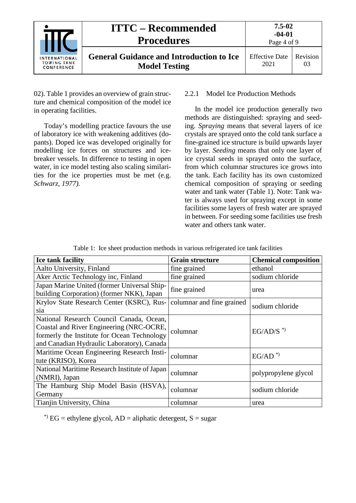|                                                          | <b>ITTC – Recommended</b><br><b>Procedures</b>                          | $7.5 - 02$<br>$-04-01$<br>Page 4 of 9 |                |
|----------------------------------------------------------|-------------------------------------------------------------------------|---------------------------------------|----------------|
| <b>INTERNATIONAL</b><br><b>TOWING TANK</b><br>CONFERENCE | <b>General Guidance and Introduction to Ice</b><br><b>Model Testing</b> | <b>Effective Date</b><br>2021         | Revision<br>03 |

02). [Table 1](#page-3-1) provides an overview of grain structure and chemical composition of the model ice in operating facilities.

Today's modelling practice favours the use of laboratory ice with weakening additives (dopants). Doped ice was developed originally for modelling ice forces on structures and icebreaker vessels. In difference to testing in open water, in ice model testing also scaling similarities for the ice properties must be met (e.g. *Schwarz, 1977).*

#### <span id="page-3-0"></span>2.2.1 Model Ice Production Methods

In the model ice production generally two methods are distinguished: spraying and seeding. *Spraying* means that several layers of ice crystals are sprayed onto the cold tank surface a fine-grained ice structure is build upwards layer by layer. *Seeding* means that only one layer of ice crystal seeds in sprayed onto the surface, from which columnar structures ice grows into the tank. Each facility has its own customized chemical composition of spraying or seeding water and tank water (Table 1). Note: Tank water is always used for spraying except in some facilities some layers of fresh water are sprayed in between. For seeding some facilities use fresh water and others tank water.

|  | Table 1: Ice sheet production methods in various refrigerated ice tank facilities |  |  |
|--|-----------------------------------------------------------------------------------|--|--|
|  |                                                                                   |  |  |

<span id="page-3-1"></span>

| <b>Ice tank facility</b>                                                                                                                                                          | <b>Grain structure</b>    | <b>Chemical composition</b> |
|-----------------------------------------------------------------------------------------------------------------------------------------------------------------------------------|---------------------------|-----------------------------|
| Aalto University, Finland                                                                                                                                                         | fine grained              | ethanol                     |
| Aker Arctic Technology inc, Finland                                                                                                                                               | fine grained              | sodium chloride             |
| Japan Marine United (former Universal Ship-<br>building Corporation) (former NKK), Japan                                                                                          | fine grained              | urea                        |
| Krylov State Research Center (KSRC), Rus-<br>sia                                                                                                                                  | columnar and fine grained | sodium chloride             |
| National Research Council Canada, Ocean,<br>Coastal and River Engineering (NRC-OCRE,<br>formerly the Institute for Ocean Technology<br>and Canadian Hydraulic Laboratory), Canada | columnar                  | $EG/AD/S^*$                 |
| Maritime Ocean Engineering Research Insti-<br>tute (KRISO), Korea                                                                                                                 | columnar                  | $EG/AD^*$                   |
| National Maritime Research Institute of Japan<br>(NMRI), Japan                                                                                                                    | columnar                  | polypropylene glycol        |
| The Hamburg Ship Model Basin (HSVA),<br>Germany                                                                                                                                   | columnar                  | sodium chloride             |
| Tianjin University, China                                                                                                                                                         | columnar                  | urea                        |

\*) EG = ethylene glycol,  $AD =$ aliphatic detergent,  $S =$ sugar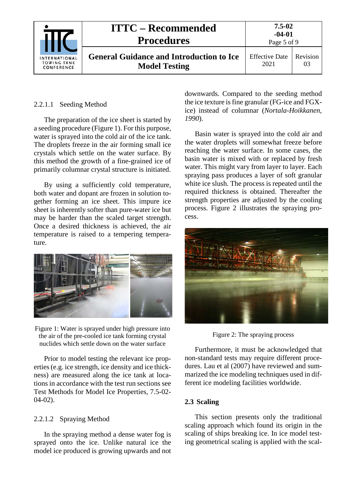|                                                   | <b>ITTC – Recommended</b><br><b>Procedures</b>                          | $7.5 - 02$<br>$-04-01$<br>Page 5 of 9 |                |
|---------------------------------------------------|-------------------------------------------------------------------------|---------------------------------------|----------------|
| <b>INTERNATIONAL</b><br>TOWING TANK<br>CONFERENCE | <b>General Guidance and Introduction to Ice</b><br><b>Model Testing</b> | <b>Effective Date</b><br>2021         | Revision<br>03 |

#### <span id="page-4-0"></span>2.2.1.1 Seeding Method

The preparation of the ice sheet is started by a seeding procedure (Figure 1). For this purpose, water is sprayed into the cold air of the ice tank. The droplets freeze in the air forming small ice crystals which settle on the water surface. By this method the growth of a fine-grained ice of primarily columnar crystal structure is initiated.

By using a sufficiently cold temperature, both water and dopant are frozen in solution together forming an ice sheet. This impure ice sheet is inherently softer than pure-water ice but may be harder than the scaled target strength. Once a desired thickness is achieved, the air temperature is raised to a tempering temperature.



Figure 1: Water is sprayed under high pressure into the air of the pre-cooled ice tank forming crystal nuclides which settle down on the water surface

Prior to model testing the relevant ice properties (e.g. ice strength, ice density and ice thickness) are measured along the ice tank at locations in accordance with the test run sections see Test Methods for Model Ice Properties, 7.5-02- 04-02).

#### <span id="page-4-1"></span>2.2.1.2 Spraying Method

In the spraying method a dense water fog is sprayed onto the ice. Unlike natural ice the model ice produced is growing upwards and not

downwards. Compared to the seeding method the ice texture is fine granular (FG-ice and FGXice) instead of columnar (*Nortala-Hoikkanen, 1990*).

Basin water is sprayed into the cold air and the water droplets will somewhat freeze before reaching the water surface. In some cases, the basin water is mixed with or replaced by fresh water. This might vary from layer to layer. Each spraying pass produces a layer of soft granular white ice slush. The process is repeated until the required thickness is obtained. Thereafter the strength properties are adjusted by the cooling process. Figure 2 illustrates the spraying process.



Figure 2: The spraying process

Furthermore, it must be acknowledged that non-standard tests may require different procedures. Lau et al (2007) have reviewed and summarized the ice modeling techniques used in different ice modeling facilities worldwide.

#### <span id="page-4-2"></span>**2.3 Scaling**

This section presents only the traditional scaling approach which found its origin in the scaling of ships breaking ice. In ice model testing geometrical scaling is applied with the scal-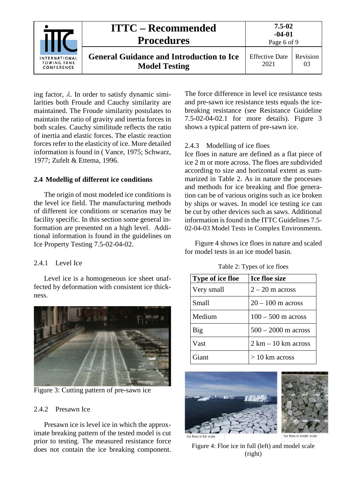| <b>INTERNATIONAL</b><br><b>TOWING TANK</b><br>CONFERENCE | <b>ITTC – Recommended</b><br><b>Procedures</b>                          | 7.5-02<br>$-04-01$<br>Page 6 of 9 |                |
|----------------------------------------------------------|-------------------------------------------------------------------------|-----------------------------------|----------------|
|                                                          | <b>General Guidance and Introduction to Ice</b><br><b>Model Testing</b> | <b>Effective Date</b><br>2021     | Revision<br>03 |

ing factor,  $\lambda$ . In order to satisfy dynamic similarities both Froude and Cauchy similarity are maintained. The Froude similarity postulates to maintain the ratio of gravity and inertia forces in both scales. Cauchy similitude reflects the ratio of inertia and elastic forces. The elastic reaction forces refer to the elasticity of ice. More detailed information is found in ( Vance, 1975; Schwarz, 1977; Zufelt & Ettema, 1996.

#### <span id="page-5-0"></span>**2.4 Modellig of different ice conditions**

The origin of most modeled ice conditions is the level ice field. The manufacturing methods of different ice conditions or scenarios may be facility specific. In this section some general information are presented on a high level. Additional information is found in the guidelines on Ice Property Testing 7.5-02-04-02.

#### <span id="page-5-1"></span>2.4.1 Level Ice

Level ice is a homogeneous ice sheet unaffected by deformation with consistent ice thickness.



Figure 3: Cutting pattern of pre-sawn ice

#### <span id="page-5-4"></span><span id="page-5-2"></span>2.4.2 Presawn Ice

Presawn ice is level ice in which the approximate breaking pattern of the tested model is cut prior to testing. The measured resistance force does not contain the ice breaking component.

The force difference in level ice resistance tests and pre-sawn ice resistance tests equals the icebreaking resistance (see Resistance Guideline 7.5-02-04-02.1 for more details). [Figure 3](#page-5-4) shows a typical pattern of pre-sawn ice.

#### <span id="page-5-3"></span>2.4.3 Modelling of ice floes

Ice floes in nature are defined as a flat piece of ice 2 m or more across. The floes are subdivided according to size and horizontal extent as summarized in Table 2. As in nature the processes and methods for ice breaking and floe generation can be of various origins such as ice broken by ships or waves. In model ice testing ice can be cut by other devices such as saws. Additional information is found in the ITTC Guidelines 7.5- 02-04-03 Model Tests in Complex Environments.

[Figure 4](#page-5-5) shows ice floes in nature and scaled for model tests in an ice model basin.

| <b>Type of ice floe</b> | <b>Ice floe size</b>                  |
|-------------------------|---------------------------------------|
| Very small              | $2 - 20$ m across                     |
| Small                   | $20 - 100$ m across                   |
| Medium                  | $100 - 500$ m across                  |
| Big                     | $500 - 2000$ m across                 |
| Vast                    | $2 \text{ km} - 10 \text{ km}$ across |
| Giant                   | $>10$ km across                       |

Table 2: Types of ice floes





<span id="page-5-5"></span>Figure 4: Floe ice in full (left) and model scale (right)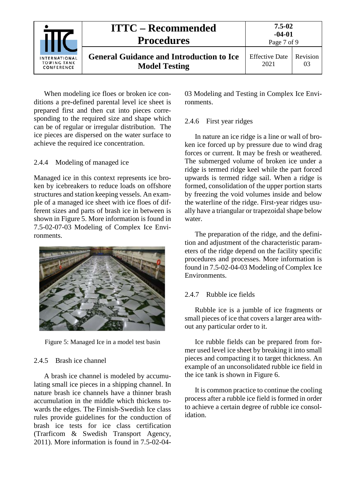| <b>INTERNATIONAL</b><br><b>TOWING TANK</b><br>CONFERENCE | <b>ITTC – Recommended</b><br><b>Procedures</b>                          | $7.5 - 02$<br>$-04-01$<br>Page 7 of 9 |                |
|----------------------------------------------------------|-------------------------------------------------------------------------|---------------------------------------|----------------|
|                                                          | <b>General Guidance and Introduction to Ice</b><br><b>Model Testing</b> | <b>Effective Date</b><br>2021         | Revision<br>03 |

When modeling ice floes or broken ice conditions a pre-defined parental level ice sheet is prepared first and then cut into pieces corresponding to the required size and shape which can be of regular or irregular distribution. The ice pieces are dispersed on the water surface to achieve the required ice concentration.

#### <span id="page-6-0"></span>2.4.4 Modeling of managed ice

Managed ice in this context represents ice broken by icebreakers to reduce loads on offshore structures and station keeping vessels. An example of a managed ice sheet with ice floes of different sizes and parts of brash ice in between is shown in [Figure 5.](#page-6-4) More information is found in 7.5-02-07-03 Modeling of Complex Ice Environments.



Figure 5: Managed Ice in a model test basin

#### <span id="page-6-4"></span><span id="page-6-1"></span>2.4.5 Brash ice channel

A brash ice channel is modeled by accumulating small ice pieces in a shipping channel. In nature brash ice channels have a thinner brash accumulation in the middle which thickens towards the edges. The Finnish-Swedish Ice class rules provide guidelines for the conduction of brash ice tests for ice class certification (Trarficom & Swedish Transport Agency, 2011). More information is found in 7.5-02-0403 Modeling and Testing in Complex Ice Environments.

#### <span id="page-6-2"></span>2.4.6 First year ridges

In nature an ice ridge is a line or wall of broken ice forced up by pressure due to wind drag forces or current. It may be fresh or weathered. The submerged volume of broken ice under a ridge is termed ridge keel while the part forced upwards is termed ridge sail. When a ridge is formed, consolidation of the upper portion starts by freezing the void volumes inside and below the waterline of the ridge. First-year ridges usually have a triangular or trapezoidal shape below water.

The preparation of the ridge, and the definition and adjustment of the characteristic parameters of the ridge depend on the facility specific procedures and processes. More information is found in 7.5-02-04-03 Modeling of Complex Ice Environments.

#### <span id="page-6-3"></span>2.4.7 Rubble ice fields

Rubble ice is a jumble of ice fragments or small pieces of ice that covers a larger area without any particular order to it.

Ice rubble fields can be prepared from former used level ice sheet by breaking it into small pieces and compacting it to target thickness. An example of an unconsolidated rubble ice field in the ice tank is shown in [Figure 6.](#page-7-3)

It is common practice to continue the cooling process after a rubble ice field is formed in order to achieve a certain degree of rubble ice consolidation.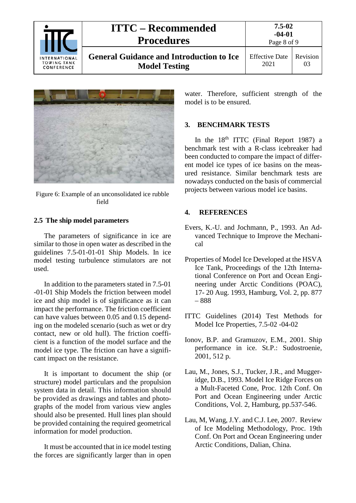| <b>INTERNATIONAL</b><br><b>TOWING TANK</b><br>CONFERENCE | <b>ITTC – Recommended</b><br><b>Procedures</b>                          | 7.5-02<br>$-04-01$<br>Page 8 of 9 |                |
|----------------------------------------------------------|-------------------------------------------------------------------------|-----------------------------------|----------------|
|                                                          | <b>General Guidance and Introduction to Ice</b><br><b>Model Testing</b> | <b>Effective Date</b><br>2021     | Revision<br>03 |



Figure 6: Example of an unconsolidated ice rubble field

#### <span id="page-7-3"></span><span id="page-7-0"></span>**2.5 The ship model parameters**

The parameters of significance in ice are similar to those in open water as described in the guidelines 7.5-01-01-01 Ship Models. In ice model testing turbulence stimulators are not used.

In addition to the parameters stated in 7.5-01 -01-01 Ship Models the friction between model ice and ship model is of significance as it can impact the performance. The friction coefficient can have values between 0.05 and 0.15 depending on the modeled scenario (such as wet or dry contact, new or old hull). The friction coefficient is a function of the model surface and the model ice type. The friction can have a significant impact on the resistance.

It is important to document the ship (or structure) model particulars and the propulsion system data in detail. This information should be provided as drawings and tables and photographs of the model from various view angles should also be presented. Hull lines plan should be provided containing the required geometrical information for model production.

It must be accounted that in ice model testing the forces are significantly larger than in open water. Therefore, sufficient strength of the model is to be ensured.

#### <span id="page-7-1"></span>**3. BENCHMARK TESTS**

In the  $18<sup>th</sup>$  ITTC (Final Report 1987) a benchmark test with a R-class icebreaker had been conducted to compare the impact of different model ice types of ice basins on the measured resistance. Similar benchmark tests are nowadays conducted on the basis of commercial projects between various model ice basins.

#### <span id="page-7-2"></span>**4. REFERENCES**

- Evers, K.-U. and Jochmann, P., 1993. An Advanced Technique to Improve the Mechanical
- Properties of Model Ice Developed at the HSVA Ice Tank, Proceedings of the 12th International Conference on Port and Ocean Engineering under Arctic Conditions (POAC), 17- 20 Aug. 1993, Hamburg, Vol. 2, pp. 877 – 888
- ITTC Guidelines (2014) Test Methods for Model Ice Properties, 7.5-02 -04-02
- Ionov, B.P. and Gramuzov, E.M., 2001. Ship performance in ice. St.P.: Sudostroenie, 2001, 512 p.
- Lau, M., Jones, S.J., Tucker, J.R., and Muggeridge, D.B., 1993. Model Ice Ridge Forces on a Mult-Faceted Cone, Proc. 12th Conf. On Port and Ocean Engineering under Arctic Conditions, Vol. 2, Hamburg, pp.537-546.
- Lau, M, Wang, J.Y. and C.J. Lee, 2007. Review of Ice Modeling Methodology, Proc. 19th Conf. On Port and Ocean Engineering under Arctic Conditions, Dalian, China.